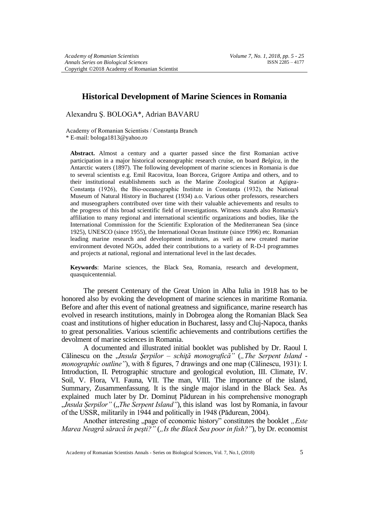# **Historical Development of Marine Sciences in Romania**

Alexandru Ş. BOLOGA\*, Adrian BAVARU

Academy of Romanian Scientists / Constanta Branch \* E-mail: bologa1813@yahoo.ro

**Abstract.** Almost a century and a quarter passed since the first Romanian active participation in a major historical oceanographic research cruise, on board *Belgica*, in the Antarctic waters (1897). The following development of marine sciences in Romania is due to several scientists e.g. Emil Racovitza, Ioan Borcea, Grigore Antipa and others, and to their institutional establishments such as the Marine Zoological Station at Agigea-Constanţa (1926), the Bio-oceanographic Institute in Constanţa (1932), the National Museum of Natural History in Bucharest (1934) a.o. Various other professors, researchers and museographers contributed over time with their valuable achievements and results to the progress of this broad scientific field of investigations. Witness stands also Romania's affiliation to many regional and international scientific organizations and bodies, like the International Commission for the Scientific Exploration of the Mediterranean Sea (since 1925), UNESCO (since 1955), the International Ocean Institute (since 1996) etc. Romanian leading marine research and development institutes, as well as new created marine environment devoted NGOs, added their contributions to a variety of R-D-I programmes and projects at national, regional and international level in the last decades.

**Keywords**: Marine sciences, the Black Sea, Romania, research and development, quasquicentennial.

The present Centenary of the Great Union in Alba Iulia in 1918 has to be honored also by evoking the development of marine sciences in maritime Romania. Before and after this event of national greatness and significance, marine research has evolved in research institutions, mainly in Dobrogea along the Romanian Black Sea coast and institutions of higher education in Bucharest, Iassy and Cluj-Napoca, thanks to great personalities. Various scientific achievements and contributions certifies the devolment of marine sciences in Romania.

A documented and illustrated initial booklet was published by Dr. Raoul I. Călinescu on the "*Insula Şerpilor – schiţă monografică"* (*"The Serpent Island monographic outline"*), with 8 figures, 7 drawings and one map (Călinescu, 1931): I. Introduction, II. Petrographic structure and geological evolution, III. Climate, IV. Soil, V. Flora, VI. Fauna, VII. The man, VIII. The importance of the island, Summary, Zusammenfassung. It is the single major island in the Black Sea. As explained much later by Dr. Dominuț Pădurean in his comprehensive monograph *Insula Serpilor"* (*"The Serpent Island*"), this island was lost by Romania, in favour of the USSR, militarily in 1944 and politically in 1948 (Pădurean, 2004).

Another interesting "page of economic history" constitutes the booklet "Este *Marea Neagră săracă în pești?*" (*"Is the Black Sea poor in fish?*"), by Dr. economist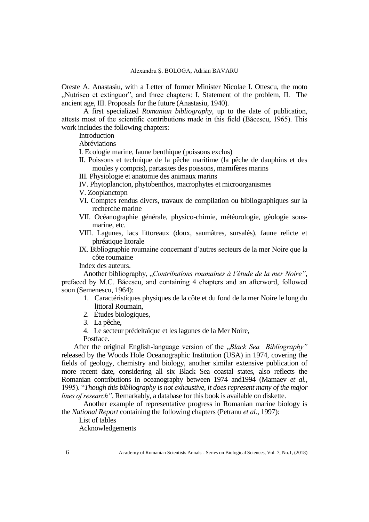Oreste A. Anastasiu, with a Letter of former Minister Nicolae I. Ottescu, the moto "Nutrisco et extinguor", and three chapters: I. Statement of the problem, II. The ancient age, III. Proposals for the future (Anastasiu, 1940).

A first specialized *Romanian bibliography*, up to the date of publication, attests most of the scientific contributions made in this field (Băcescu, 1965). This work includes the following chapters:

**Introduction** 

Abréviations

I. Ecologie marine, faune benthique (poissons exclus)

- II. Poissons et technique de la pêche maritime (la pêche de dauphins et des moules y compris), partasites des poissons, mamifères marins
- III. Physiologie et anatomie des animaux marins
- IV. Phytoplancton, phytobenthos, macrophytes et microorganismes
- V. Zooplanctopn
- VI. Comptes rendus divers, travaux de compilation ou bibliographiques sur la recherche marine
- VII. Océanographie générale, physico-chimie, météorologie, géologie sousmarine, etc.
- VIII. Lagunes, lacs littoreaux (doux, saumâtres, sursalés), faune relicte et phréatique litorale
- IX. Bibliographie roumaine concernant d'autres secteurs de la mer Noire que la côte roumaine

Index des auteurs.

Another bibliography, "*Contributions roumaines à l'étude de la mer Noire"*, prefaced by M.C. Băcescu, and containing 4 chapters and an afterword, followed soon (Semenescu, 1964):

- 1. Caractéristiques physiques de la côte et du fond de la mer Noire le long du littoral Roumain,
- 2. Études biologiques,
- 3. La pêche,
- 4. Le secteur prédeltaïque et les lagunes de la Mer Noire,

Postface.

After the original English-language version of the *"Black Sea Bibliography*" released by the Woods Hole Oceanographic Institution (USA) in 1974, covering the fields of geology, chemistry and biology, another similar extensive publication of more recent date, considering all six Black Sea coastal states, also reflects the Romanian contributions in oceanography between 1974 and1994 (Mamaev *et al.,* 1995). "*Though this bibliography is not exhaustive, it does represent many of the major lines of research"*. Remarkably, a database for this book is available on diskette.

Another example of representative progress in Romanian marine biology is the *National Report* containing the following chapters (Petranu *et al.,* 1997):

List of tables

Acknowledgements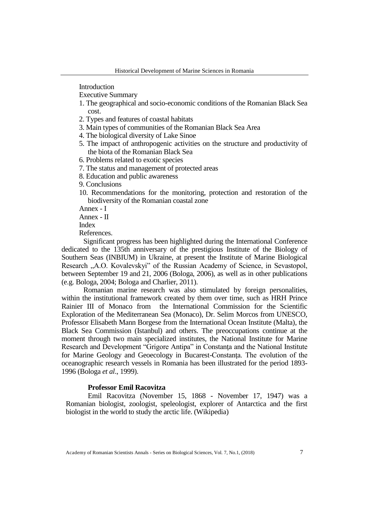Introduction

Executive Summary

- 1. The geographical and socio-economic conditions of the Romanian Black Sea cost.
- 2. Types and features of coastal habitats
- 3. Main types of communities of the Romanian Black Sea Area
- 4. The biological diversity of Lake Sinoe
- 5. The impact of anthropogenic activities on the structure and productivity of the biota of the Romanian Black Sea
- 6. Problems related to exotic species
- 7. The status and management of protected areas
- 8. Education and public awareness

9. Conclusions

10. Recommendations for the monitoring, protection and restoration of the biodiversity of the Romanian coastal zone

Annex - I

Annex - II

Index

References.

Significant progress has been highlighted during the International Conference dedicated to the 135th anniversary of the prestigious Institute of the Biology of Southern Seas (INBIUM) in Ukraine, at present the Institute of Marine Biological Research "A.O. Kovalevskyi" of the Russian Academy of Science, in Sevastopol, between September 19 and 21, 2006 (Bologa, 2006), as well as in other publications (e.g. Bologa, 2004; Bologa and Charlier, 2011).

Romanian marine research was also stimulated by foreign personalities, within the institutional framework created by them over time, such as HRH Prince Rainier III of Monaco from the International Commission for the Scientific Exploration of the Mediterranean Sea (Monaco), Dr. Selim Morcos from UNESCO, Professor Elisabeth Mann Borgese from the International Ocean Institute (Malta), the Black Sea Commission (Istanbul) and others. The preoccupations continue at the moment through two main specialized institutes, the National Institute for Marine Research and Development "Grigore Antipa" in Constanţa and the National Institute for Marine Geology and Geoecology in Bucarest-Constanţa. The evolution of the oceanographic research vessels in Romania has been illustrated for the period 1893- 1996 (Bologa *et al*., 1999).

### **Professor Emil Racovitza**

Emil Racovitza (November 15, 1868 - November 17, 1947) was a Romanian biologist, zoologist, speleologist, explorer of Antarctica and the first biologist in the world to study the arctic life. (Wikipedia)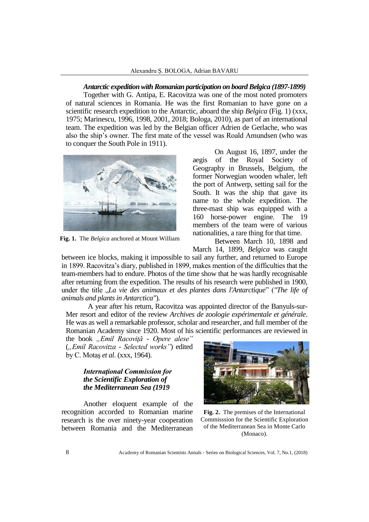*Antarctic expedition with Romanian participation on board Belgica (1897-1899)*

Together with G. Antipa, E. Racovitza was one of the most noted promoters of natural sciences in Romania. He was the first Romanian to have gone on a scientific research expedition to the Antarctic, aboard the ship *Belgica* (Fig. 1) (xxx, 1975; Marinescu, 1996, 1998, 2001, 2018; Bologa, 2010), as part of an international team. The expedition was led by the Belgian officer Adrien de Gerlache, who was also the ship's owner. The first mate of the vessel was Roald Amundsen (who was to conquer the South Pole in 1911).



**Fig. 1.** The *Belgica* anchored at Mount William

On August 16, 1897, under the aegis of the Royal Society of Geography in Brussels, Belgium, the former Norwegian wooden whaler, left the port of Antwerp, setting sail for the South. It was the ship that gave its name to the whole expedition. The three-mast ship was equipped with a 160 horse-power engine. The 19 members of the team were of various nationalities, a rare thing for that time.

Between March 10, 1898 and March 14, 1899, *Belgica* was caught

between ice blocks, making it impossible to sail any further, and returned to Europe in 1899. Racovitza's diary, published in 1899, makes mention of the difficulties that the team-members had to endure. Photos of the time show that he was hardly recognisable after returning from the expedition. The results of his research were published in 1900, under the title "*La vie des animaux et des plantes dans l'Antarctique*" (*"The life of animals and plants in Antarctica"*).

A year after his return, Racovitza was appointed director of the Banyuls-sur-Mer resort and editor of the review *Archives de zoologie expérimentale et générale*. He was as well a remarkable professor, scholar and researcher, and full member of the Romanian Academy since 1920. Most of his scientific performances are reviewed in

the book *"Emil Racoviţă - Opere alese"* (*"Emil Racovitza - Selected works"*) edited by C. Motaş *et al*. (xxx, 1964).

# *Internaţional Commission for the Scientific Exploration of the Mediterranean Sea (1919*

Another eloquent example of the recognition accorded to Romanian marine research is the over ninety-year cooperation between Romania and the Mediterranean



**Fig. 2.** The premises of the International Commisssion for the Scientific Exploration of the Mediterranean Sea in Monte Carlo (Monaco).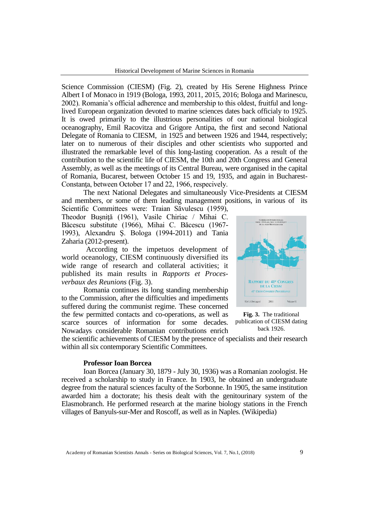Science Commission (CIESM) (Fig. 2), created by His Serene Highness Prince Albert I of Monaco in 1919 (Bologa, 1993, 2011, 2015, 2016; Bologa and Marinescu, 2002). Romania's official adherence and membership to this oldest, fruitful and longlived European organization devoted to marine sciences dates back officialy to 1925. It is owed primarily to the illustrious personalities of our national biological oceanography, Emil Racovitza and Grigore Antipa, the first and second National Delegate of Romania to CIESM, in 1925 and between 1926 and 1944, respectively; later on to numerous of their disciples and other scientists who supported and illustrated the remarkable level of this long-lasting cooperation. As a result of the contribution to the scientific life of CIESM, the 10th and 20th Congress and General Assembly, as well as the meetings of its Central Bureau, were organised in the capital of Romania, Bucarest, between October 15 and 19, 1935, and again in Bucharest-Constanta, between October 17 and 22, 1966, respecively.

The next National Delegates and simultaneously Vice-Presidents at CIESM and members, or some of them leading management positions, in various of its Scientific Committees were: Traian Săvulescu (1959),

Theodor Busnită (1961), Vasile Chiriac / Mihai C. Băcescu substitute (1966), Mihai C. Băcescu (1967- 1993), Alexandru Ş. Bologa (1994-2011) and Tania Zaharia (2012-present).

According to the impetuos development of world oceanology, CIESM continuously diversified its wide range of research and collateral activities; it published its main results in *Rapports et Procesverbaux des Reunions* (Fig. 3).

Romania continues its long standing membership to the Commission, after the difficulties and impediments suffered during the communist regime. These concerned the few permitted contacts and co-operations, as well as scarce sources of information for some decades. Nowadays considerable Romanian contributions enrich



**Fig. 3.** The traditional publication of CIESM dating back 1926.

the scientific achievements of CIESM by the presence of specialists and their research within all six contemporary Scientific Committees.

#### **Professor Ioan Borcea**

Ioan Borcea (January 30, 1879 - July 30, 1936) was a Romanian zoologist. He received a scholarship to study in France. In 1903, he obtained an undergraduate degree from the natural sciences faculty of the Sorbonne. In 1905, the same institution awarded him a doctorate; his thesis dealt with the genitourinary system of the Elasmobranch. He performed research at the marine biology stations in the French villages of Banyuls-sur-Mer and Roscoff, as well as in Naples. (Wikipedia)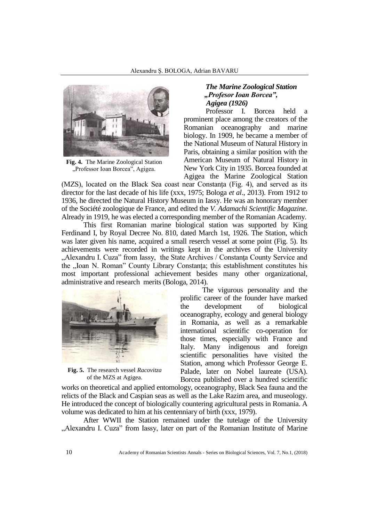

**Fig. 4.** The Marine Zoological Station "Professor Ioan Borcea", Agigea.

# *The Marine Zoological Station "Profesor Ioan Borcea", Agigea (1926)*

Professor I. Borcea held prominent place among the creators of the Romanian oceanography and marine biology. In 1909, he became a member of the National Museum of Natural History in Paris, obtaining a similar position with the American Museum of Natural History in New York City in 1935. Borcea founded at Agigea the Marine Zoological Station

(MZS), located on the Black Sea coast near Constanța (Fig. 4), and served as its director for the last decade of his life (xxx, 1975; Bologa *et al*., 2013). From 1912 to 1936, he directed the Natural History Museum in Iassy. He was an honorary member of the Société zoologique de France, and edited the *V. Adamachi Scientific Magazine.* Already in 1919, he was elected a corresponding member of the Romanian Academy.

This first Romanian marine biological station was supported by King Ferdinand I, by Royal Decree No. 810, dated March 1st, 1926. The Station, which was later given his name, acquired a small reserch vessel at some point (Fig. 5). Its achievements were recorded in writings kept in the archives of the University "Alexandru I. Cuza" from Iassy, the State Archives / Constanţa County Service and the "Ioan N. Roman" County Library Constanta; this establishment constitutes his most important professional achievement besides many other organizational, administrative and research merits (Bologa, 2014).



**Fig. 5.** The research vessel *Racovitza* of the MZS at Agigea.

The vigurous personality and the prolific career of the founder have marked the development of biological oceanography, ecology and general biology in Romania, as well as a remarkable international scientific co-operation for those times, especially with France and Italy. Many indigenous and foreign scientific personalities have visited the Station, among which Professor George E. Palade, later on Nobel laureate (USA). Borcea published over a hundred scientific

works on theoretical and applied entomology, oceanography, Black Sea fauna and the relicts of the Black and Caspian seas as well as the Lake Razim area, and museology. He introduced the concept of biologically countering agricultural pests in Romania. A volume was dedicated to him at his centenniary of birth (xxx, 1979).

After WWII the Station remained under the tutelage of the University "Alexandru I. Cuza" from Iassy, later on part of the Romanian Institute of Marine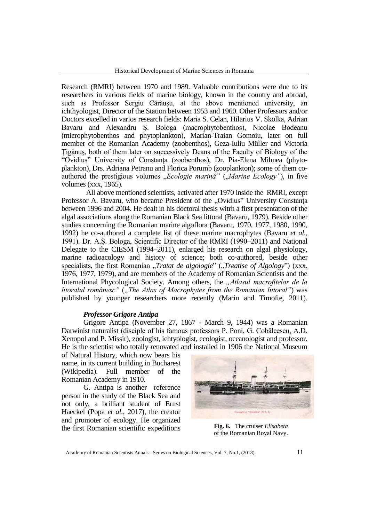Research (RMRI) between 1970 and 1989. Valuable contributions were due to its researchers in various fields of marine biology, known in the country and abroad, such as Professor Sergiu Cărăuşu, at the above mentioned university, an ichthyologist, Director of the Station between 1953 and 1960. Other Professors and/or Doctors excelled in varios research fields: Maria S. Celan, Hilarius V. Skolka, Adrian Bavaru and Alexandru Ş. Bologa (macrophytobenthos), Nicolae Bodeanu (microphytobenthos and phytoplankton), Marian-Traian Gomoiu, later on full member of the Romanian Academy (zoobenthos), Geza-Iuliu Müller and Victoria Ţigănuş, both of them later on successively Deans of the Faculty of Biology of the "Ovidius" University of Constanta (zoobenthos), Dr. Pia-Elena Mihnea (phytoplankton), Drs. Adriana Petranu and Florica Porumb (zooplankton); some of them coauthored the prestigious volumes "*Ecologie marină*" ("Marine Ecology"), in five volumes (xxx, 1965).

All above mentioned scientists, activated after 1970 inside the RMRI, except Professor A. Bavaru, who became President of the "Ovidius" University Constanta between 1996 and 2004. He dealt in his doctoral thesis witrh a first presentation of the algal associations along the Romanian Black Sea littoral (Bavaru, 1979). Beside other studies concerning the Romanian marine algoflora (Bavaru, 1970, 1977, 1980, 1990, 1992) he co-authored a complete list of these marine macrophytes (Bavaru *et al.,* 1991). Dr. A.Ş. Bologa, Scientific Director of the RMRI (1990–2011) and National Delegate to the CIESM (1994–2011), enlarged his research on algal physiology, marine radioacology and history of science; both co-authored, beside other specialists, the first Romanian *"Tratat de algologie*" *("Treatise of Algology*") (xxx, 1976, 1977, 1979), and are members of the Academy of Romanian Scientists and the International Phycological Society. Among others, the *"Atlasul macrofitelor de la litoralul românesc*" (*"The Atlas of Macrophytes from the Romanian littoral*") was published by younger researchers more recently (Marin and Timofte, 2011).

## *Professor Grigore Antipa*

Grigore Antipa (November 27, 1867 - March 9, 1944) was a Romanian Darwinist naturalist (disciple of his famous professors P. Poni, G. Cobălcescu, A.D. Xenopol and P. Missir), zoologist, ichtyologist, ecologist, oceanologist and professor. He is the scientist who totally renovated and installed in 1906 the National Museum

of Natural History, which now bears his name, in its current building in Bucharest (Wikipedia). Full member of the Romanian Academy in 1910.

G. Antipa is another reference person in the study of the Black Sea and not only, a brilliant student of Ernst Haeckel (Popa *et al.*, 2017), the creator and promoter of ecology. He organized the first Romanian scientific expeditions



**Fig. 6.** The cruiser *Elisabeta* of the Romanian Royal Navy.

Academy of Romanian Scientists Annals - Series on Biological Sciences, Vol. 7, No.1, (2018) 11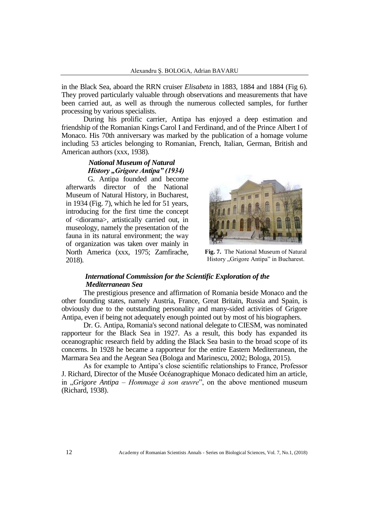in the Black Sea, aboard the RRN cruiser *Elisabeta* in 1883, 1884 and 1884 (Fig 6). They proved particularly valuable through observations and measurements that have been carried aut, as well as through the numerous collected samples, for further processing by various specialists.

During his prolific carrier, Antipa has enjoyed a deep estimation and friendship of the Romanian Kings Carol I and Ferdinand, and of the Prince Albert I of Monaco. His 70th anniversary was marked by the publication of a homage volume including 53 articles belonging to Romanian, French, Italian, German, British and American authors (xxx, 1938).

# *National Museum of Natural History "Grigore Antipa" (1934)*

G. Antipa founded and become afterwards director of the National Museum of Natural History, in Bucharest, in 1934 (Fig. 7), which he led for 51 years, introducing for the first time the concept of <diorama>, artistically carried out, in museology, namely the presentation of the fauna in its natural environment; the way of organization was taken over mainly in North America (xxx, 1975; Zamfirache, 2018).



**Fig. 7.** The National Museum of Natural History "Grigore Antipa" in Bucharest.

# *International Commission for the Scientific Exploration of the Mediterranean Sea*

The prestigious presence and affirmation of Romania beside Monaco and the other founding states, namely Austria, France, Great Britain, Russia and Spain, is obviously due to the outstanding personality and many-sided activities of Grigore Antipa, even if being not adequately enough pointed out by most of his biographers.

Dr. G. Antipa, Romania's second national delegate to CIESM, was nominated rapporteur for the Black Sea in 1927. As a result, this body has expanded its oceanographic research field by adding the Black Sea basin to the broad scope of its concerns. In 1928 he became a rapporteur for the entire Eastern Mediterranean, the Marmara Sea and the Aegean Sea (Bologa and Marinescu, 2002; Bologa, 2015).

As for example to Antipa's close scientific relationships to France, Professor J. Richard, Director of the Musée Océanographique Monaco dedicated him an article, in "*Grigore Antipa – Hommage à son œuvre*", on the above mentioned museum (Richard, 1938).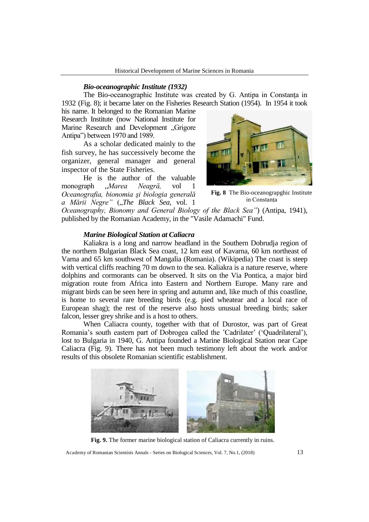### *Bio-oceanographic Institute (1932)*

The Bio-oceanographic Institute was created by G. Antipa in Constanta in 1932 (Fig. 8); it became later on the Fisheries Research Station (1954). In 1954 it took

his name. It belonged to the Romanian Marine Research Institute (now National Institute for Marine Research and Development "Grigore Antipa") between 1970 and 1989.

As a scholar dedicated mainly to the fish survey, he has successively become the organizer, general manager and general inspector of the State Fisheries.

He is the author of the valuable monograph "*Marea Neagră,* vol 1 *Oceanografia, bionomia şi biologia generală a Mării Negre"* ("The Black Sea, vol. 1



**Fig. 8** The Bio-oceanograpghic Institute in Constanţa

*Oceanography, Bionomy and General Biology of the Black Sea"*) (Antipa, 1941), published by the Romanian Academy, in the "Vasile Adamachi" Fund.

### *Marine Biological Station at Caliacra*

Kaliakra is a long and narrow headland in the Southern Dobrudja region of the northern Bulgarian Black Sea coast, 12 km east of Kavarna, 60 km northeast of Varna and 65 km southwest of Mangalia (Romania). (Wikipedia) The coast is steep with vertical cliffs reaching 70 m down to the sea. Kaliakra is a nature reserve, where dolphins and cormorants can be observed. It sits on the Via Pontica, a major bird migration route from Africa into Eastern and Northern Europe. Many rare and migrant birds can be seen here in spring and autumn and, like much of this coastline, is home to several rare breeding birds (e.g. pied wheatear and a local race of European shag); the rest of the reserve also hosts unusual breeding birds; saker falcon, lesser grey shrike and is a host to others.

When Caliacra county, together with that of Durostor, was part of Great Romania's south eastern part of Dobrogea called the 'Cadrilater' ('Quadrilateral'), lost to Bulgaria in 1940, G. Antipa founded a Marine Biological Station near Cape Caliacra (Fig. 9). There has not been much testimony left about the work and/or results of this obsolete Romanian scientific establishment.



**Fig. 9.** The former marine biological station of Caliacra currently in ruins.

Academy of Romanian Scientists Annals - Series on Biological Sciences, Vol. 7, No.1, (2018) 13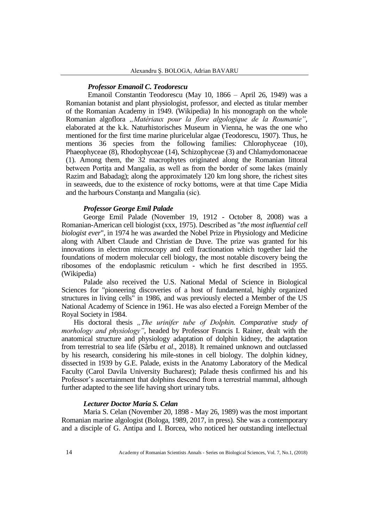### *Professor Emanoil C. Teodorescu*

Emanoil Constantin Teodorescu (May 10, 1866 – April 26, 1949) was a Romanian botanist and plant physiologist, professor, and elected as titular member of the Romanian Academy in 1949. (Wikipedia) In his monograph on the whole Romanian algoflora *"Matériaux pour la flore algologique de la Roumanie"*, elaborated at the k.k. Naturhistorisches Museum in Vienna, he was the one who mentioned for the first time marine pluricelular algae (Teodorescu, 1907). Thus, he mentions 36 species from the following families: Chlorophyceae (10), Phaeophyceae (8), Rhodophyceae (14), Schizophyceae (3) and Chlamydomonaceae (1). Among them, the 32 macrophytes originated along the Romanian littoral between Portita and Mangalia, as well as from the border of some lakes (mainly Razim and Babadag); along the approximately 120 km long shore, the richest sites in seaweeds, due to the existence of rocky bottoms, were at that time Cape Midia and the harbours Constanţa and Mangalia (sic).

### *Professor George Emil Palade*

George Emil Palade (November 19, 1912 - October 8, 2008) was a Romanian-American cell biologist (xxx, 1975). Described as "*the most influential cell biologist ever*", in 1974 he was awarded the Nobel Prize in Physiology and Medicine along with Albert Claude and Christian de Duve. The prize was granted for his innovations in electron microscopy and cell fractionation which together laid the foundations of modern molecular cell biology, the most notable discovery being the ribosomes of the endoplasmic reticulum - which he first described in 1955. (Wikipedia)

Palade also received the U.S. National Medal of Science in Biological Sciences for "pioneering discoveries of a host of fundamental, highly organized structures in living cells" in 1986, and was previously elected a Member of the US National Academy of Science in 1961. He was also elected a Foreign Member of the Royal Society in 1984.

His doctoral thesis "The urinifer tube of Dolphin. Comparative study of *morhology and physiology"*, headed by Professor Francis I. Rainer, dealt with the anatomical structure and physiology adaptation of dolphin kidney, the adaptation from terrestrial to sea life (Sârbu *et al*., 2018). It remained unknown and outclassed by his research, considering his mile-stones in cell biology. The dolphin kidney, dissected in 1939 by G.E. Palade, exists in the Anatomy Laboratory of the Medical Faculty (Carol Davila University Bucharest); Palade thesis confirmed his and his Professor's ascertainment that dolphins descend from a terrestrial mammal, although further adapted to the see life having short urinary tubs.

## *Lecturer Doctor Maria S. Celan*

Maria S. Celan (November 20, 1898 - May 26, 1989) was the most important Romanian marine algologist (Bologa, 1989, 2017, in press). She was a contemporary and a disciple of G. Antipa and I. Borcea, who noticed her outstanding intellectual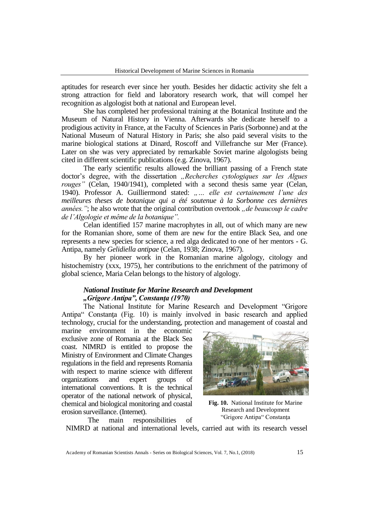aptitudes for research ever since her youth. Besides her didactic activity she felt a strong attraction for field and laboratory research work, that will compel her recognition as algologist both at national and European level.

She has completed her professional training at the Botanical Institute and the Museum of Natural History in Vienna. Afterwards she dedicate herself to a prodigious activity in France, at the Faculty of Sciences in Paris (Sorbonne) and at the National Museum of Natural History in Paris; she also paid several visits to the marine biological stations at Dinard, Roscoff and Villefranche sur Mer (France). Later on she was very appreciated by remarkable Soviet marine algologists being cited in different scientific publications (e.g. Zinova, 1967).

The early scientific results allowed the brilliant passing of a French state doctor's degree, with the dissertation *"Recherches cytologiques sur les Algues rouges"* (Celan, 1940/1941), completed with a second thesis same year (Celan, 1940). Professor A. Guilliermond stated: *"… elle est certainement l'une des meilleures theses de botanique qui a été soutenue à la Sorbonne ces dernières années.*"; he also wrote that the original contribution overtook *"de beaucoup le cadre de l'Algologie et même de la botanique".*

Celan identified 157 marine macrophytes in all, out of which many are new for the Romanian shore, some of them are new for the entire Black Sea, and one represents a new species for science, a red alga dedicated to one of her mentors - G. Antipa, namely *Gelidiella antipae* (Celan, 1938; Zinova, 1967).

By her pioneer work in the Romanian marine algology, citology and histochemistry (xxx, 1975), her contributions to the enrichment of the patrimony of global science, Maria Celan belongs to the history of algology.

# *National Institute for Marine Research and Development "Grigore Antipa", Constanţa (1970)*

The National Institute for Marine Research and Development "Grigore Antipa" Constanta (Fig. 10) is mainly involved in basic research and applied technology, crucial for the understanding, protection and management of coastal and

marine environment in the economic exclusive zone of Romania at the Black Sea coast. NIMRD is entitled to propose the Ministry of Environment and Climate Changes regulations in the field and represents Romania with respect to marine science with different organizations and expert groups of international conventions. It is the technical operator of the national network of physical, chemical and biological monitoring and coastal erosion surveillance. (Internet).

The main responsibilities of



**Fig. 10.** National Institute for Marine Research and Development "Grigore Antipa" Constanţa

NIMRD at national and international levels, carried aut with its research vessel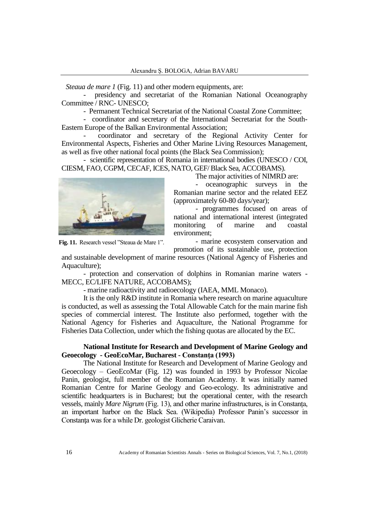*Steaua de mare 1* (Fig. 11) and other modern equipments, are:

presidency and secretariat of the Romanian National Oceanography Committee / RNC- UNESCO;

- Permanent Technical Secretariat of the National Coastal Zone Committee;

- coordinator and secretary of the International Secretariat for the South-Eastern Europe of the Balkan Environmental Association;

- coordinator and secretary of the Regional Activity Center for Environmental Aspects, Fisheries and Other Marine Living Resources Management, as well as five other national focal points (the Black Sea Commission);

- scientific representation of Romania in international bodies (UNESCO / COI, CIESM, FAO, CGPM, CECAF, ICES, NATO, GEF/ Black Sea, ACCOBAMS).

The major activities of NIMRD are:



- oceanographic surveys in the Romanian marine sector and the related EEZ (approximately 60-80 days/year);

- programmes focused on areas of national and international interest (integrated monitoring of marine and coastal environment;

- marine ecosystem conservation and

**Fig. 11.** Research vessel "Steaua de Mare 1".

promotion of its sustainable use, protection

and sustainable development of marine resources (National Agency of Fisheries and Aquaculture);

- protection and conservation of dolphins in Romanian marine waters - MECC, EC/LIFE NATURE, ACCOBAMS);

- marine radioactivity and radioecology (IAEA, MML Monaco).

It is the only R&D institute in Romania where research on marine aquaculture is conducted, as well as assessing the Total Allowable Catch for the main marine fish species of commercial interest. The Institute also performed, together with the National Agency for Fisheries and Aquaculture, the National Programme for Fisheries Data Collection, under which the fishing quotas are allocated by the EC.

## **National Institute for Research and Development of Marine Geology and Geoecology - GeoEcoMar, Bucharest - Constanţa (1993)**

The National Institute for Research and Development of Marine Geology and Geoecology – GeoEcoMar (Fig. 12) was founded in 1993 by Professor Nicolae Panin, geologist, full member of the Romanian Academy. It was initially named Romanian Centre for Marine Geology and Geo-ecology. Its administrative and scientific headquarters is in Bucharest; but the operational center, with the research vessels, mainly *Mare Nigrum* (Fig. 13), and other marine infrastructures, is in Constanța, an important harbor on the Black Sea. (Wikipedia) Professor Panin's successor in Constanţa was for a while Dr. geologist Glicherie Caraivan.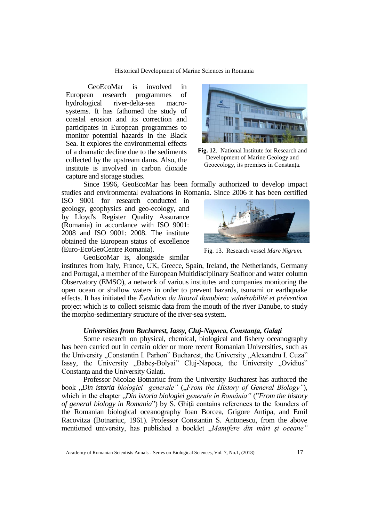GeoEcoMar is involved in European research programmes of hydrological river-delta-sea macrosystems. It has fathomed the study of coastal erosion and its correction and participates in European programmes to monitor potential hazards in the Black Sea. It explores the environmental effects of a dramatic decline due to the sediments collected by the upstream dams. Also, the institute is involved in carbon dioxide capture and storage studies.



**Fig. 12**. National Institute for Research and Development of Marine Geology and Geoecology, its premises in Constanţa.

Since 1996, GeoEcoMar has been formally authorized to develop impact studies and environmental evaluations in Romania. Since 2006 it has been certified

ISO 9001 for research conducted in geology, geophysics and geo-ecology, and by Lloyd's Register Quality Assurance (Romania) in accordance with ISO 9001: 2008 and ISO 9001: 2008. The institute obtained the European status of excellence (Euro-EcoGeoCentre Romania).



Fig. 13. Research vessel *Mare Nigrum.*

GeoEcoMar is, alongside similar

institutes from Italy, France, UK, Greece, Spain, Ireland, the Netherlands, Germany and Portugal, a member of the European Multidisciplinary Seafloor and water column Observatory (EMSO), a network of various institutes and companies monitoring the open ocean or shallow waters in order to prevent hazards, tsunami or earthquake effects. It has initiated the *Évolution du littoral danubien: vulnérabilité et prévention* project which is to collect seismic data from the mouth of the river Danube, to study the morpho-sedimentary structure of the river-sea system.

### *Universities from Bucharest, Iassy, Cluj-Napoca, Constanţa, Galaţi*

Some research on physical, chemical, biological and fishery oceanography has been carried out in certain older or more recent Romanian Universities, such as the University "Constantin I. Parhon" Bucharest, the University "Alexandru I. Cuza" Iassy, the University "Babeş-Bolyai" Cluj-Napoca, the University "Ovidius" Constanţa and the University Galaţi.

Professor Nicolae Botnariuc from the University Bucharest has authored the book "Din istoria biologiei generale" ("From the History of General Biology"), which in the chapter "*Din istoria biologiei generale în România"* ("*From the history of general biology in Romania*") by S. Ghiţă contains references to the founders of the Romanian biological oceanography Ioan Borcea, Grigore Antipa, and Emil Racovitza (Botnariuc, 1961). Professor Constantin S. Antonescu, from the above mentioned university, has published a booklet "Mamifere din mări și oceane"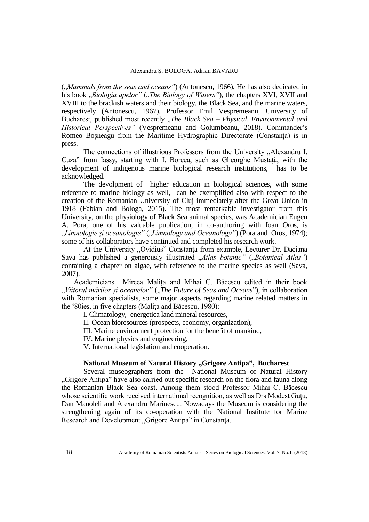("Mammals from the seas and oceans") (Antonescu, 1966), He has also dedicated in his book *"Biologia apelor*" *("The Biology of Waters*"), the chapters XVI, XVII and XVIII to the brackish waters and their biology, the Black Sea, and the marine waters, respectively (Antonescu, 1967). Professor Emil Vespremeanu, University of Bucharest, published most recently "*The Black Sea – Physical, Environmental and Historical Perspectives"* (Vespremeanu and Golumbeanu, 2018). Commander's Romeo Boșneagu from the Maritime Hydrographic Directorate (Constanța) is in press.

The connections of illustrious Professors from the University "Alexandru I. Cuza" from Iassy, starting with I. Borcea, such as Gheorghe Mustată, with the development of indigenous marine biological research institutions, has to be acknowledged.

The devolpment of higher education in biological sciences, with some reference to marine biology as well, can be exemplified also with respect to the creation of the Romanian University of Cluj immediately after the Great Union in 1918 (Fabian and Bologa, 2015). The most remarkable investigator from this University, on the physiology of Black Sea animal species, was Academician Eugen A. Pora; one of his valuable publication, in co-authoring with Ioan Oros, is "Limnologie și oceanologie" ("Limnology and Oceanology") (Pora and Oros, 1974); some of his collaborators have continued and completed his research work.

At the University "Ovidius" Constanța from example, Lecturer Dr. Daciana Sava has published a generously illustrated "Atlas botanic" ("Botanical Atlas") containing a chapter on algae, with reference to the marine species as well (Sava, 2007).

Academicians Mircea Maliţa and Mihai C. Băcescu edited in their book "*Viitorul mărilor și oceanelor"* ("*The Future of Seas and Oceans"*), in collaboration with Romanian specialists, some major aspects regarding marine related matters in the '80ies, in five chapters (Maliţa and Băcescu, 1980):

I. Climatology, energetica land mineral resources,

II. Ocean bioresources (prospects, economy, organization),

III. Marine environment protection for the benefit of mankind,

IV. Marine physics and engineering,

V. International legislation and cooperation.

# National Museum of Natural History "Grigore Antipa", Bucharest

Several museographers from the National Museum of Natural History "Grigore Antipa" have also carried out specific research on the flora and fauna along the Romanian Black Sea coast. Among them stood Professor Mihai C. Băcescu whose scientific work received international recognition, as well as Drs Modest Gutu, Dan Manoleli and Alexandru Marinescu. Nowadays the Museum is considering the strengthening again of its co-operation with the National Institute for Marine Research and Development "Grigore Antipa" in Constanța.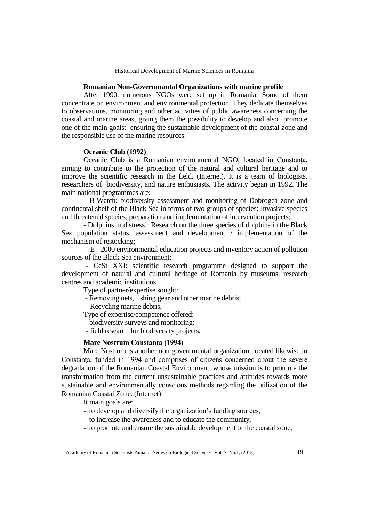### **Romanian Non-Governmantal Organizations with marine profile**

After 1990, numerous NGOs were set up in Romania. Some of them concentrate on environment and environmental protection. They dedicate themselves to observations, monitoring and other activities of public awareness concerning the coastal and marine areas, giving them the possibility to develop and also promote one of the main goals: ensuring the sustainable development of the coastal zone and the responsible use of the marine resources.

### **Oceanic Club (1992)**

Oceanic Club is a Romanian environmental NGO, located in Constanta, aiming to contribute to the protection of the natural and cultural heritage and to improve the scientific research in the field. (Internet). It is a team of biologists, researchers of biodiversity, and nature enthusiasts. The activity began in 1992. The main national programmes are:

 - B-Watch: biodiversity assessment and monitoring of Dobrogea zone and continental shelf of the Black Sea in terms of two groups of species: Invasive species and threatened species, preparation and implementation of intervention projects;

- Dolphins in distress!: Research on the three species of dolphins in the Black Sea population status, assessment and development / implementation of the mechanism of restocking;

- E - 2000 environmental education projects and inventory action of pollution sources of the Black Sea environment;

- CeSt XXI: scientific research programme designed to support the development of natural and cultural heritage of Romania by museums, research centres and academic institutions.

Type of partner/expertise sought:

- Removing nets, fishing gear and other marine debris;

- Recycling marine debris.

Type of expertise/competence offered:

- biodiversity surveys and monitoring;

- field research for biodiversity projects.

# **Mare Nostrum Constanţa (1994)**

Mare Nostrum is another non governmental organization, located likewise in Constanţa, funded in 1994 and comprises of citizens concerned about the severe degradation of the Romanian Coastal Environment, whose mission is to promote the transformation from the current unsustainable practices and attitudes towards more sustainable and environmentally conscious methods regarding the utilization of the Romanian Coastal Zone. (Internet)

It main goals are:

- to develop and diversify the organization's funding sources,
- to increase the awareness and to educate the community,
- to promote and ensure the sustainable development of the coastal zone,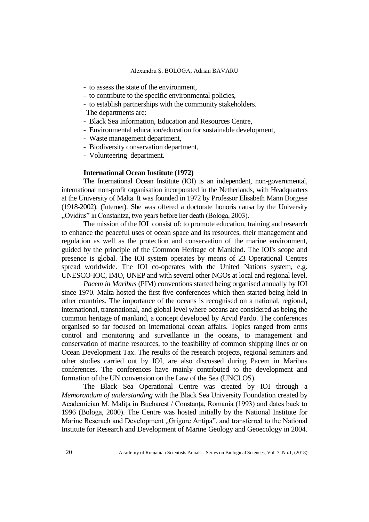- to assess the state of the environment,
- to contribute to the specific environmental policies,
- to establish partnerships with the community stakeholders. The departments are:
- Black Sea Information, Education and Resources Centre,
- Environmental education/education for sustainable development,
- Waste management department,
- Biodiversity conservation department,
- Volunteering department.

# **International Ocean Institute (1972)**

The International Ocean Institute (IOI) is an independent, non-governmental, international non-profit organisation incorporated in the Netherlands, with Headquarters at the University of Malta. It was founded in 1972 by Professor Elisabeth Mann Borgese (1918-2002). (Internet). She was offered a doctorate honoris causa by the University "Ovidius" in Constantza, two years before her death (Bologa, 2003).

The mission of the IOI consist of: to promote education, training and research to enhance the peaceful uses of ocean space and its resources, their management and regulation as well as the protection and conservation of the marine environment, guided by the principle of the Common Heritage of Mankind. The IOI's scope and presence is global. The IOI system operates by means of 23 Operational Centres spread worldwide. The IOI co-operates with the United Nations system, e.g. UNESCO-IOC, IMO, UNEP and with several other NGOs at local and regional level.

*Pacem in Maribus* (PIM) conventions started being organised annually by IOI since 1970. Malta hosted the first five conferences which then started being held in other countries. The importance of the oceans is recognised on a national, regional, international, transnational, and global level where oceans are considered as being the common heritage of mankind, a concept developed by Arvid Pardo. The conferences organised so far focused on international ocean affairs. Topics ranged from arms control and monitoring and surveillance in the oceans, to management and conservation of marine resources, to the feasibility of common shipping lines or on Ocean Development Tax. The results of the research projects, regional seminars and other studies carried out by IOI, are also discussed during Pacem in Maribus conferences. The conferences have mainly contributed to the development and formation of the UN convension on the Law of the Sea (UNCLOS).

The Black Sea Operational Centre was created by IOI through a *Memorandum of understanding* with the Black Sea University Foundation created by Academician M. Maliţa in Bucharest / Constanţa, Romania (1993) and dates back to 1996 (Bologa, 2000). The Centre was hosted initially by the National Institute for Marine Reserach and Development "Grigore Antipa", and transferred to the National Institute for Research and Development of Marine Geology and Geoecology in 2004.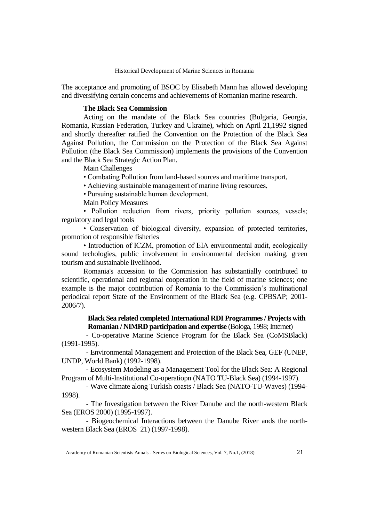The acceptance and promoting of BSOC by Elisabeth Mann has allowed developing and diversifying certain concerns and achievements of Romanian marine research.

### **The Black Sea Commission**

Acting on the mandate of the Black Sea countries (Bulgaria, Georgia, Romania, Russian Federation, Turkey and Ukraine), which on April 21,1992 signed and shortly thereafter ratified the Convention on the Protection of the Black Sea Against Pollution, the Commission on the Protection of the Black Sea Against Pollution (the Black Sea Commission) implements the provisions of the Convention and the Black Sea Strategic Action Plan.

Main Challenges

• Combating Pollution from land-based sources and maritime transport,

• Achieving sustainable management of marine living resources,

• Pursuing sustainable human development.

Main Policy Measures

• Pollution reduction from rivers, priority pollution sources, vessels; regulatory and legal tools

• Conservation of biological diversity, expansion of protected territories, promotion of responsible fisheries

• Introduction of ICZM, promotion of EIA environmental audit, ecologically sound techologies, public involvement in environmental decision making, green tourism and sustainable livelihood.

Romania's accession to the Commission has substantially contributed to scientific, operational and regional cooperation in the field of marine sciences; one example is the major contribution of Romania to the Commission's multinational periodical report State of the Environment of the Black Sea (e.g. CPBSAP; 2001- 2006/7).

# **Black Sea related completed International RDI Programmes / Projects with Romanian / NIMRD participation and expertise** (Bologa, 1998; Internet)

- Co-operative Marine Science Program for the Black Sea (CoMSBlack) (1991-1995).

- Environmental Management and Protection of the Black Sea, GEF (UNEP, UNDP, World Bank) (1992-1998).

- Ecosystem Modeling as a Management Tool for the Black Sea: A Regional Program of Multi-Institutional Co-operatiopn (NATO TU-Black Sea) (1994-1997).

- Wave climate along Turkish coasts / Black Sea (NATO-TU-Waves) (1994- 1998).

- The Investigation between the River Danube and the north-western Black Sea (EROS 2000) (1995-1997).

- Biogeochemical Interactions between the Danube River ands the northwestern Black Sea (EROS 21) (1997-1998).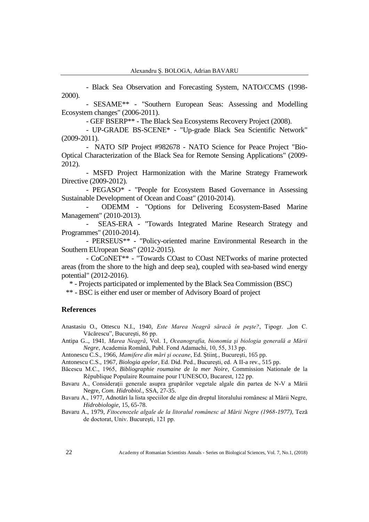- Black Sea Observation and Forecasting System, NATO/CCMS (1998- 2000).

- SESAME\*\* - "Southern European Seas: Assessing and Modelling Ecosystem changes" (2006-2011).

- GEF BSERP\*\* - The Black Sea Ecosystems Recovery Project (2008).

- UP-GRADE BS-SCENE\* - "Up-grade Black Sea Scientific Network" (2009-2011).

- NATO SfP Project #982678 - NATO Science for Peace Project "Bio-Optical Characterization of the Black Sea for Remote Sensing Applications" (2009- 2012).

- MSFD Project Harmonization with the Marine Strategy Framework Directive (2009-2012).

- PEGASO\* - "People for Ecosystem Based Governance in Assessing Sustainable Development of Ocean and Coast" (2010-2014).

- ODEMM - "Options for Delivering Ecosystem-Based Marine Management" (2010-2013).

SEAS-ERA - "Towards Integrated Marine Research Strategy and Programmes" (2010-2014).

- PERSEUS\*\* - "Policy-oriented marine Environmental Research in the Southern EUropean Seas" (2012-2015).

- CoCoNET\*\* - "Towards COast to COast NETworks of marine protected areas (from the shore to the high and deep sea), coupled with sea-based wind energy potential" (2012-2016).

\* - Projects participated or implemented by the Black Sea Commission (BSC)

\*\* - BSC is either end user or member of Advisory Board of project

# **References**

Anastasiu O., Ottescu N.I., 1940, *Este Marea Neagră săracă în pește?*, Tipogr. "Ion C. Văcărescu", Bucureşti, 86 pp.

Antipa G.., 1941*, Marea Neagră*, Vol. 1, *Oceanografia, bionomia şi biologia generală a Mării Negre*, Academia Română, Publ. Fond Adamachi, 10, 55, 313 pp.

Antonescu C.S., 1966, *Mamifere din mări şi oceane*, Ed. Ştiinţ., Bucureşti, 165 pp.

Antonescu C.S., 1967, *Biologia apelor*, Ed. Did. Ped., Bucureşti, ed. A II-a rev., 515 pp.

Băcescu M.C., 1965, *Bibliographie roumaine de la mer Noire*, Commission Nationale de la République Populaire Roumaine pour l'UNESCO, Bucarest, 122 pp.

Bavaru A., Consideraţii generale asupra grupărilor vegetale algale din partea de N-V a Mării Negre, *Com. Hidrobiol*., SSA, 27-35.

Bavaru A., 1977, Adnotări la lista speciilor de alge din dreptul litoralului românesc al Mării Negre, *Hidrobiologie*, 15, 65-78.

Bavaru A., 1979, *Fitocenozele algale de la litoralul românesc al Mării Negre (1968-1977)*, Teză de doctorat, Univ. Bucureşti, 121 pp.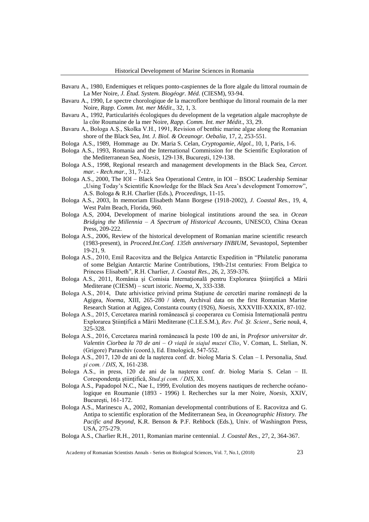- Bavaru A., 1980, Endemiques et reliques ponto-caspiennes de la flore algale du littoral roumain de La Mer Noire, *J. Étud. System. Biogéogr. Méd.* (CIESM), 93-94.
- Bavaru A., 1990, Le spectre chorologique de la macroflore benthique du littoral roumain de la mer Noire, *Rapp. Comm. Int. mer Médit*., 32, 1, 3.
- Bavaru A., 1992, Particularités écologiques du development de la vegetation algale macrophyte de la côte Roumaine de la mer Noire, *Rapp. Comm. Int. mer Médit*., 33, 29.
- Bavaru A., Bologa A.Ş., Skolka V.H., 1991, Revision of benthic marine algae along the Romanian shore of the Black Sea, *Int. J. Biol. & Oceanogr. Oebalia*, 17, 2, 253-551.
- Bologa A.S., 1989, Hommage au Dr. Maria S. Celan, *Cryptogamie, Algol.*, 10, 1, Paris, 1-6.
- Bologa A.S., 1993, Romania and the International Commission for the Scientific Exploration of the Mediterranean Sea, *Noesis*, 129-138, Bucureşti, 129-138.
- Bologa A.S., 1998, Regional research and management developments in the Black Sea, *Cercet. mar. - Rech.mar.*, 31, 7-12.
- Bologa A.S., 2000, The IOI Black Sea Operational Centre, in IOI BSOC Leadership Seminar "Using Today's Scientific Knowledge for the Black Sea Area's development Tomorrow", A.S. Bologa & R.H. Charlier (Eds.), *Proceedings*, 11-15.
- Bologa A.S., 2003, In memoriam Elisabeth Mann Borgese (1918-2002), *J. Coastal Res.*, 19, 4, West Palm Beach, Florida, 960.
- Bologa A.S, 2004, Development of marine biological institutions around the sea. in *Ocean Bridging the Millennia – A Spectrum of Historical Accounts*, UNESCO, China Ocean Press, 209-222.
- Bologa A.S., 2006, Review of the historical development of Romanian marine scientific research (1983-present), in *Proceed.Int.Conf. 135th anniversary INBIUM*, Sevastopol, September 19-21, 9.
- Bologa A.S., 2010, Emil Racovitza and the Belgica Antarctic Expedition in "Philatelic panorama of some Belgian Antarctic Marine Contributions, 19th-21st centuries: From Belgica to Princess Elisabeth", R.H. Charlier, *J. Coastal Res*., 26, 2, 359-376.
- Bologa A.S., 2011, România și Comisia Internațională pentru Explorarea Științifică a Mării Mediterane (CIESM) – scurt istoric. *Noema*, X, 333-338.
- Bologa A.S., 2014, Date arhivistice privind prima Staţiune de cercetări marine româneşti de la Agigea, *Noema*, XIII, 265-280 / idem, Archival data on the first Romanian Marine Research Station at Agigea, Constanta county (1926), *Noesis*, XXXVIII-XXXIX, 87-102.
- Bologa A.S., 2015, Cercetarea marină românească şi cooperarea cu Comisia Internaţională pentru Explorarea Ştiinţifică a Mării Mediterane (C.I.E.S.M.), *Rev. Pol. Şt. Scient*., Serie nouă, 4, 325-328.
- Bologa A.S., 2016, Cercetarea marină românească la peste 100 de ani, în *Profesor universitar dr. Valentin Ciorbea la 70 de ani – O viaţă în siajul muzei Clio*, V. Coman, L. Stelian, N. (Grigore) Paraschiv (coord.), Ed. Etnologică, 547-552.
- Bologa A.S., 2017, 120 de ani de la naşterea conf. dr. biolog Maria S. Celan I. Personalia, *Stud. şi com. / DIS*, X, 161-238.
- Bologa A.S., in press, 120 de ani de la naşterea conf. dr. biolog Maria S. Celan II. Corespondenţa ştiinţifică, *Stud.şi com. / DIS*, XI.
- Bologa A.S., Papadopol N.C., Nae I., 1999, Evolution des moyens nautiques de recherche océanologique en Roumanie (1893 - 1996) I. Recherches sur la mer Noire, *Noesis*, XXIV, Bucureşti, 161-172.
- Bologa A.S., Marinescu A., 2002, Romanian developmental contributions of E. Racovitza and G. Antipa to scientific exploration of the Mediterranean Sea, in *Oceanographic History. The Pacific and Beyond*, K.R. Benson & P.F. Rehbock (Eds.), Univ. of Washington Press, USA, 275-279.
- Bologa A.S., Charlier R.H., 2011, Romanian marine centennial. *J. Coastal Res*., 27, 2, 364-367.

Academy of Romanian Scientists Annals - Series on Biological Sciences, Vol. 7, No.1, (2018) 23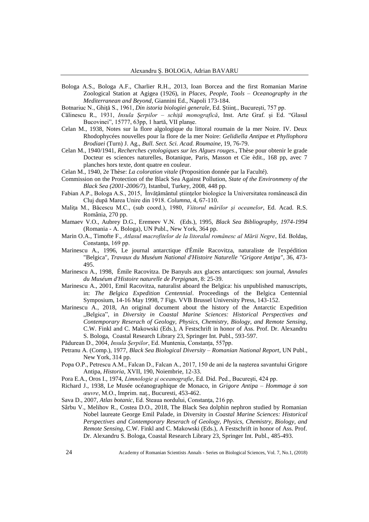Bologa A.S., Bologa A.F., Charlier R.H., 2013, Ioan Borcea and the first Romanian Marine Zoological Station at Agigea (1926), in *Places, People, Tools – Oceanography in the Mediterranean and Beyond*, Giannini Ed., Napoli 173-184.

Botnariuc N., Ghită S., 1961, *Din istoria biologiei generale*, Ed. Stiint., București, 757 pp.

- Călinescu R., 1931, *Insula Șerpilor – schiță monografică,* Inst. Arte Graf. și Ed. "Glasul Bucovinei", 15777, 63pp, 1 hartă, VII planșe.
- Celan M., 1938, Notes sur la flore algologique du littoral roumain de la mer Noire. IV. Deux Rhodophycées nouvelles pour la flore de la mer Noire: *Gelidiella Antipae* et *Phyllophora Brodiaei* (Turn) J. Ag., *Bull. Sect. Sci. Acad. Roumaine*, 19, 76-79.
- Celan M., 1940/1941, *Recherches cytologiques sur les Algues rouges*., Thèse pour obtenir le grade Docteur es sciences naturelles, Botanique, Paris, Masson et Cie èdit., 168 pp, avec 7 planches hors texte, dont quatre en couleur.

Celan M., 1940, 2e Thèse: *La coloration vitale* (Proposition donnée par la Faculté).

- Commission on the Protection of the Black Sea Against Pollution, *State of the Environmeny of the Black Sea (2001-2006/7)*, Istanbul, Turkey, 2008, 448 pp.
- Fabian A.P., Bologa A.S., 2015, Învăţământul ştiinţelor biologice la Universitatea românească din Cluj după Marea Unire din 1918. *Columna*, 4, 67-110.
- Malita M., Băcescu M.C., (sub coord.), 1980, Viitorul mărilor și oceanelor, Ed. Acad. R.S. România, 270 pp.
- Mamaev V.O., Aubrey D.G., Eremeev V.N. (Eds.), 1995, *Black Sea Bibliography, 1974-1994*  (Romania - A. Bologa), UN Publ., New York, 364 pp.
- Marin O.A., Timofte F., *Atlasul macrofitelor de la litoralul românesc al Mării Negre*, Ed. Boldaş, Constanța, 169 pp.
- Marinescu A., 1996, Le journal antarctique d'Émile Racovitza, naturaliste de l'expédition "Belgica", *Travaux du Muséum National d'Histoire Naturelle "Grigore Antipa"*, 36, 473- 495.
- Marinescu A., 1998, Émile Racovitza. De Banyuls aux glaces antarctiques: son journal, *Annales du Muséum d'Histoire naturelle de Perpignan*, 8: 25-39.
- Marinescu A., 2001, Emil Racovitza, naturalist aboard the Belgica: his unpublished manuscripts, in: *The Belgica Expedition Centennial*. Proceedings of the Belgica Centennial Symposium, 14-16 May 1998, 7 Figs. VVB Brussel University Press, 143-152.
- Marinescu A., 2018, An original document about the history of the Antarctic Expedition "Belgica", in *Diversity in Coastal Marine Sciences: Historical Perspectives and Contemporary Reserach of Geology, Physics, Chemistry, Biology, and Remote Sensing*, C.W. Finkl and C. Makowski (Eds.), A Festschrift in honor of Ass. Prof. Dr. Alexandru S. Bologa, Coastal Research Library 23, Springer Int. Publ., 593-597.
- Pădurean D., 2004, *Insula Șerpilor*, Ed. Muntenia, Constanța, 557pp.
- Petranu A. (Comp.), 1977, *Black Sea Biological Diversity – Romanian National Report*, UN Publ., New York, 314 pp.
- Popa O.P., Petrescu A.M., Falcan D., Falcan A., 2017, 150 de ani de la naşterea savantului Grigore Antipa, *Historia*, XVII, 190, Noiembrie, 12-33.
- Pora E.A., Oros I., 1974, *Limnologie şi oceanografie*, Ed. Did. Ped., Bucureşti, 424 pp.
- Richard J., 1938, Le Musée océanographique de Monaco, in *Grigore Antipa – Hommage à son œuvre*, M.O., Imprim. naţ., Bucuresti, 453-462.
- Sava D., 2007, *Atlas botanic*, Ed. Steaua nordului, Constanta, 216 pp.
- Sârbu V., Melihov R., Costea D.O., 2018, The Black Sea dolphin nephron studied by Romanian Nobel laureate George Emil Palade, in Diversity in *Coastal Marine Sciences: Historical Perspectives and Contemporary Reserach of Geology, Physics, Chemistry, Biology, and Remote Sensing*, C.W. Finkl and C. Makowski (Eds.), A Festschrift in honor of Ass. Prof. Dr. Alexandru S. Bologa, Coastal Research Library 23, Springer Int. Publ., 485-493.